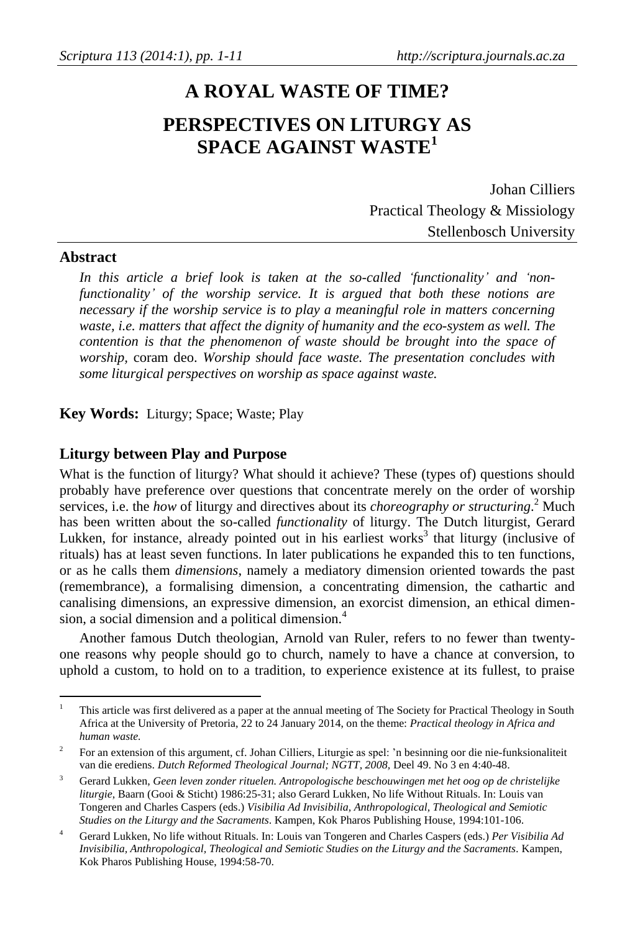# **A ROYAL WASTE OF TIME? PERSPECTIVES ON LITURGY AS SPACE AGAINST WASTE<sup>1</sup>**

Johan Cilliers Practical Theology & Missiology Stellenbosch University

# **Abstract**

*In this article a brief look is taken at the so-called 'functionality' and 'nonfunctionality' of the worship service. It is argued that both these notions are necessary if the worship service is to play a meaningful role in matters concerning waste, i.e. matters that affect the dignity of humanity and the eco-system as well. The contention is that the phenomenon of waste should be brought into the space of worship,* coram deo. *Worship should face waste. The presentation concludes with some liturgical perspectives on worship as space against waste.*

**Key Words:** Liturgy; Space; Waste; Play

## **Liturgy between Play and Purpose**

What is the function of liturgy? What should it achieve? These (types of) questions should probably have preference over questions that concentrate merely on the order of worship services, i.e. the *how* of liturgy and directives about its *choreography or structuring*. <sup>2</sup> Much has been written about the so-called *functionality* of liturgy. The Dutch liturgist, Gerard Lukken, for instance, already pointed out in his earliest works<sup>3</sup> that liturgy (inclusive of rituals) has at least seven functions. In later publications he expanded this to ten functions, or as he calls them *dimensions*, namely a mediatory dimension oriented towards the past (remembrance), a formalising dimension, a concentrating dimension, the cathartic and canalising dimensions, an expressive dimension, an exorcist dimension, an ethical dimension, a social dimension and a political dimension.<sup>4</sup>

Another famous Dutch theologian, Arnold van Ruler, refers to no fewer than twentyone reasons why people should go to church, namely to have a chance at conversion, to uphold a custom, to hold on to a tradition, to experience existence at its fullest, to praise

 $\mathbf{1}$ <sup>1</sup> This article was first delivered as a paper at the annual meeting of The Society for Practical Theology in South Africa at the University of Pretoria, 22 to 24 January 2014, on the theme: *Practical theology in Africa and human waste.*

 $\overline{2}$ For an extension of this argument, cf. Johan Cilliers, Liturgie as spel: 'n besinning oor die nie-funksionaliteit van die erediens. *Dutch Reformed Theological Journal; NGTT, 2008,* Deel 49. No 3 en 4:40-48.

<sup>3</sup> Gerard Lukken, *Geen leven zonder rituelen. Antropologische beschouwingen met het oog op de christelijke liturgie*, Baarn (Gooi & Sticht) 1986:25-31; also Gerard Lukken, No life Without Rituals. In: Louis van Tongeren and Charles Caspers (eds.) *Visibilia Ad Invisibilia, Anthropological, Theological and Semiotic Studies on the Liturgy and the Sacraments*. Kampen, Kok Pharos Publishing House, 1994:101-106.

<sup>4</sup> Gerard Lukken, No life without Rituals. In: Louis van Tongeren and Charles Caspers (eds.) *Per Visibilia Ad Invisibilia, Anthropological, Theological and Semiotic Studies on the Liturgy and the Sacraments.* Kampen, Kok Pharos Publishing House, 1994:58-70.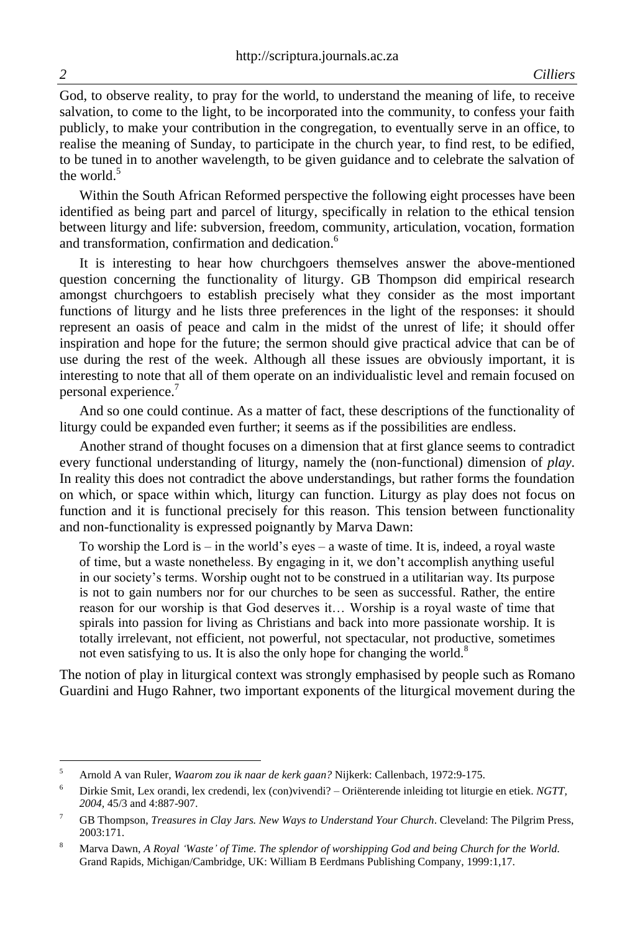God, to observe reality, to pray for the world, to understand the meaning of life, to receive salvation, to come to the light, to be incorporated into the community, to confess your faith publicly, to make your contribution in the congregation, to eventually serve in an office, to realise the meaning of Sunday, to participate in the church year, to find rest, to be edified, to be tuned in to another wavelength, to be given guidance and to celebrate the salvation of the world  $5$ 

Within the South African Reformed perspective the following eight processes have been identified as being part and parcel of liturgy, specifically in relation to the ethical tension between liturgy and life: subversion, freedom, community, articulation, vocation, formation and transformation, confirmation and dedication.<sup>6</sup>

It is interesting to hear how churchgoers themselves answer the above-mentioned question concerning the functionality of liturgy. GB Thompson did empirical research amongst churchgoers to establish precisely what they consider as the most important functions of liturgy and he lists three preferences in the light of the responses: it should represent an oasis of peace and calm in the midst of the unrest of life; it should offer inspiration and hope for the future; the sermon should give practical advice that can be of use during the rest of the week. Although all these issues are obviously important, it is interesting to note that all of them operate on an individualistic level and remain focused on personal experience.<sup>7</sup>

And so one could continue. As a matter of fact, these descriptions of the functionality of liturgy could be expanded even further; it seems as if the possibilities are endless.

Another strand of thought focuses on a dimension that at first glance seems to contradict every functional understanding of liturgy, namely the (non-functional) dimension of *play.* In reality this does not contradict the above understandings, but rather forms the foundation on which, or space within which, liturgy can function. Liturgy as play does not focus on function and it is functional precisely for this reason. This tension between functionality and non-functionality is expressed poignantly by Marva Dawn:

To worship the Lord is  $-$  in the world's eyes  $-$  a waste of time. It is, indeed, a royal waste of time, but a waste nonetheless. By engaging in it, we don't accomplish anything useful in our society's terms. Worship ought not to be construed in a utilitarian way. Its purpose is not to gain numbers nor for our churches to be seen as successful. Rather, the entire reason for our worship is that God deserves it… Worship is a royal waste of time that spirals into passion for living as Christians and back into more passionate worship. It is totally irrelevant, not efficient, not powerful, not spectacular, not productive, sometimes not even satisfying to us. It is also the only hope for changing the world.<sup>8</sup>

The notion of play in liturgical context was strongly emphasised by people such as Romano Guardini and Hugo Rahner, two important exponents of the liturgical movement during the

 $\overline{a}$ 

<sup>5</sup> Arnold A van Ruler, *Waarom zou ik naar de kerk gaan?* Nijkerk: Callenbach, 1972:9-175.

<sup>6</sup> Dirkie Smit, Lex orandi, lex credendi, lex (con)vivendi? – Oriënterende inleiding tot liturgie en etiek. *NGTT, 2004,* 45/3 and 4:887-907.

<sup>7</sup> GB Thompson, *Treasures in Clay Jars. New Ways to Understand Your Church*. Cleveland: The Pilgrim Press, 2003:171.

<sup>8</sup> Marva Dawn, *A Royal 'Waste' of Time. The splendor of worshipping God and being Church for the World.* Grand Rapids, Michigan/Cambridge, UK: William B Eerdmans Publishing Company, 1999:1,17.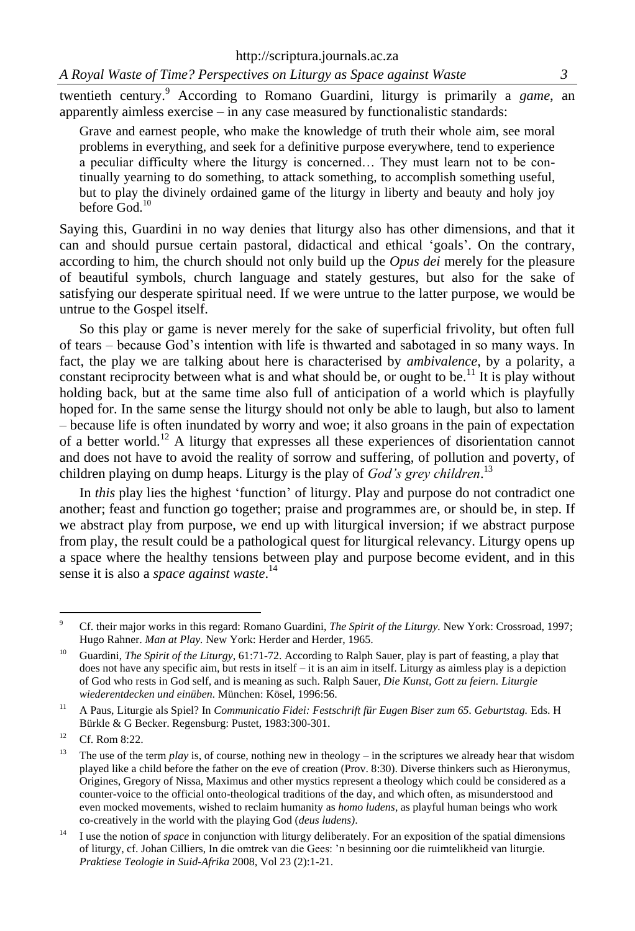twentieth century.<sup>9</sup> According to Romano Guardini, liturgy is primarily a *game*, an apparently aimless exercise – in any case measured by functionalistic standards:

Grave and earnest people, who make the knowledge of truth their whole aim, see moral problems in everything, and seek for a definitive purpose everywhere, tend to experience a peculiar difficulty where the liturgy is concerned… They must learn not to be continually yearning to do something, to attack something, to accomplish something useful, but to play the divinely ordained game of the liturgy in liberty and beauty and holy joy before God.<sup>10</sup>

Saying this, Guardini in no way denies that liturgy also has other dimensions, and that it can and should pursue certain pastoral, didactical and ethical 'goals'. On the contrary, according to him, the church should not only build up the *Opus dei* merely for the pleasure of beautiful symbols, church language and stately gestures, but also for the sake of satisfying our desperate spiritual need. If we were untrue to the latter purpose, we would be untrue to the Gospel itself.

So this play or game is never merely for the sake of superficial frivolity, but often full of tears – because God's intention with life is thwarted and sabotaged in so many ways. In fact, the play we are talking about here is characterised by *ambivalence*, by a polarity, a constant reciprocity between what is and what should be, or ought to be.<sup>11</sup> It is play without holding back, but at the same time also full of anticipation of a world which is playfully hoped for. In the same sense the liturgy should not only be able to laugh, but also to lament – because life is often inundated by worry and woe; it also groans in the pain of expectation of a better world.<sup>12</sup> A liturgy that expresses all these experiences of disorientation cannot and does not have to avoid the reality of sorrow and suffering, of pollution and poverty, of children playing on dump heaps. Liturgy is the play of *God's grey children*. 13

In *this* play lies the highest 'function' of liturgy. Play and purpose do not contradict one another; feast and function go together; praise and programmes are, or should be, in step. If we abstract play from purpose, we end up with liturgical inversion; if we abstract purpose from play, the result could be a pathological quest for liturgical relevancy. Liturgy opens up a space where the healthy tensions between play and purpose become evident, and in this sense it is also a *space against waste*. 14

 $\overline{9}$ <sup>9</sup> Cf. their major works in this regard: Romano Guardini, *The Spirit of the Liturgy.* New York: Crossroad, 1997; Hugo Rahner. *Man at Play.* New York: Herder and Herder, 1965.

<sup>&</sup>lt;sup>10</sup> Guardini, *The Spirit of the Liturgy*, 61:71-72. According to Ralph Sauer, play is part of feasting, a play that does not have any specific aim, but rests in itself – it is an aim in itself. Liturgy as aimless play is a depiction of God who rests in God self, and is meaning as such. Ralph Sauer, *Die Kunst, Gott zu feiern. Liturgie wiederentdecken und einüben.* München: Kösel, 1996:56.

<sup>11</sup> A Paus, Liturgie als Spiel? In *Communicatio Fidei: Festschrift für Eugen Biser zum 65. Geburtstag.* Eds. H Bürkle & G Becker. Regensburg: Pustet, 1983:300-301.

 $12$  Cf. Rom 8:22.

<sup>&</sup>lt;sup>13</sup> The use of the term *play* is, of course, nothing new in theology – in the scriptures we already hear that wisdom played like a child before the father on the eve of creation (Prov. 8:30). Diverse thinkers such as Hieronymus, Origines, Gregory of Nissa, Maximus and other mystics represent a theology which could be considered as a counter-voice to the official onto-theological traditions of the day, and which often, as misunderstood and even mocked movements, wished to reclaim humanity as *homo ludens*, as playful human beings who work co-creatively in the world with the playing God (*deus ludens)*.

<sup>&</sup>lt;sup>14</sup> I use the notion of *space* in conjunction with liturgy deliberately. For an exposition of the spatial dimensions of liturgy, cf. Johan Cilliers, In die omtrek van die Gees: 'n besinning oor die ruimtelikheid van liturgie. *Praktiese Teologie in Suid-Afrika* 2008, Vol 23 (2):1-21.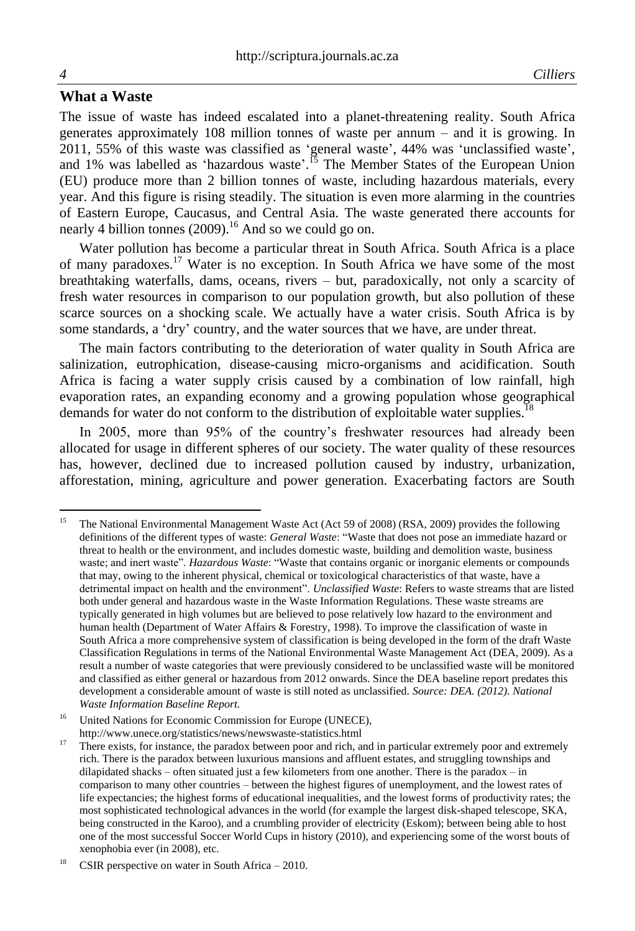The issue of waste has indeed escalated into a planet-threatening reality. South Africa generates approximately 108 million tonnes of waste per annum – and it is growing. In 2011, 55% of this waste was classified as 'general waste', 44% was 'unclassified waste', and 1% was labelled as 'hazardous waste'.<sup>15</sup> The Member States of the European Union (EU) produce more than 2 billion tonnes of waste, including hazardous materials, every year. And this figure is rising steadily. The situation is even more alarming in the countries of Eastern Europe, Caucasus, and Central Asia. The waste generated there accounts for nearly 4 billion tonnes  $(2009)$ .<sup>16</sup> And so we could go on.

Water pollution has become a particular threat in South Africa. South Africa is a place of many paradoxes.<sup>17</sup> Water is no exception. In South Africa we have some of the most breathtaking waterfalls, dams, oceans, rivers – but, paradoxically, not only a scarcity of fresh water resources in comparison to our population growth, but also pollution of these scarce sources on a shocking scale. We actually have a water crisis. South Africa is by some standards, a 'dry' country, and the water sources that we have, are under threat.

The main factors contributing to the deterioration of water quality in South Africa are salinization, eutrophication, disease-causing micro-organisms and acidification. South Africa is facing a water supply crisis caused by a combination of low rainfall, high evaporation rates, an expanding economy and a growing population whose geographical demands for water do not conform to the distribution of exploitable water supplies.<sup>18</sup>

In 2005, more than 95% of the country's freshwater resources had already been allocated for usage in different spheres of our society. The water quality of these resources has, however, declined due to increased pollution caused by industry, urbanization, afforestation, mining, agriculture and power generation. Exacerbating factors are South

<sup>15</sup> <sup>15</sup> The National Environmental Management Waste Act (Act 59 of 2008) (RSA, 2009) provides the following definitions of the different types of waste: *General Waste*: "Waste that does not pose an immediate hazard or threat to health or the environment, and includes domestic waste, building and demolition waste, business waste; and inert waste". *Hazardous Waste*: "Waste that contains organic or inorganic elements or compounds that may, owing to the inherent physical, chemical or toxicological characteristics of that waste, have a detrimental impact on health and the environment". *Unclassified Waste*: Refers to waste streams that are listed both under general and hazardous waste in the Waste Information Regulations. These waste streams are typically generated in high volumes but are believed to pose relatively low hazard to the environment and human health (Department of Water Affairs & Forestry, 1998). To improve the classification of waste in South Africa a more comprehensive system of classification is being developed in the form of the draft Waste Classification Regulations in terms of the National Environmental Waste Management Act (DEA, 2009). As a result a number of waste categories that were previously considered to be unclassified waste will be monitored and classified as either general or hazardous from 2012 onwards. Since the DEA baseline report predates this development a considerable amount of waste is still noted as unclassified. *Source: DEA. (2012). National Waste Information Baseline Report.*

<sup>&</sup>lt;sup>16</sup> United Nations for Economic Commission for Europe (UNECE),

<http://www.unece.org/statistics/news/newswaste-statistics.html>

 $17$  There exists, for instance, the paradox between poor and rich, and in particular extremely poor and extremely rich. There is the paradox between luxurious mansions and affluent estates, and struggling townships and dilapidated shacks – often situated just a few kilometers from one another. There is the paradox – in comparison to many other countries – between the highest figures of unemployment, and the lowest rates of life expectancies; the highest forms of educational inequalities, and the lowest forms of productivity rates; the most sophisticated technological advances in the world (for example the largest disk-shaped telescope, SKA, being constructed in the Karoo), and a crumbling provider of electricity (Eskom); between being able to host one of the most successful Soccer World Cups in history (2010), and experiencing some of the worst bouts of xenophobia ever (in 2008), etc.

<sup>&</sup>lt;sup>18</sup> [CSIR perspective on water in South Africa –](http://www.csir.co.za/nre/docs/CSIR%20Perspective%20on%20Water_2010.PDF) 2010.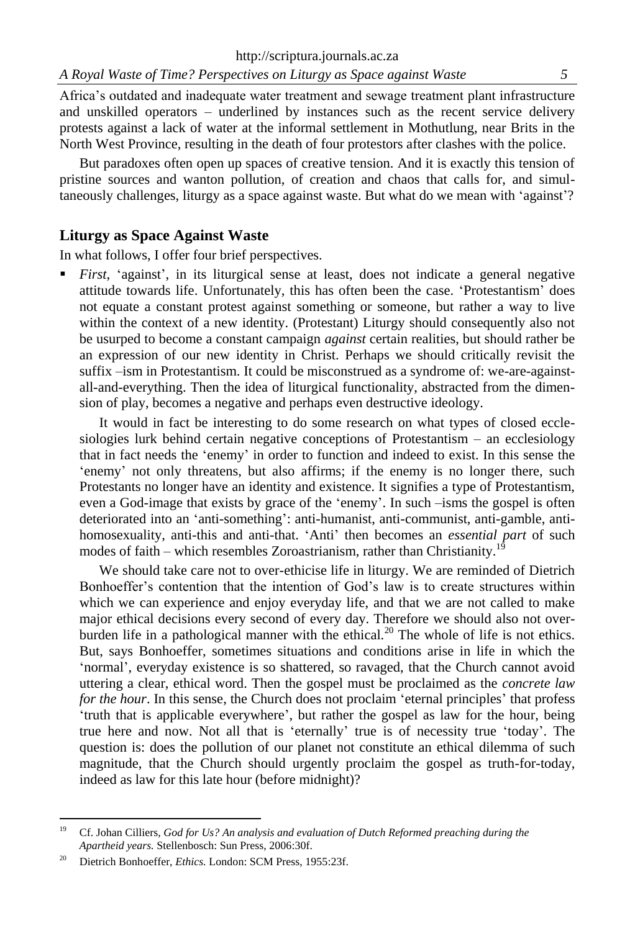Africa's outdated and inadequate water treatment and sewage treatment plant infrastructure and unskilled operators – underlined by instances such as the recent service delivery protests against a lack of water at the informal settlement in Mothutlung, near Brits in the North West Province, resulting in the death of four protestors after clashes with the police.

But paradoxes often open up spaces of creative tension. And it is exactly this tension of pristine sources and wanton pollution, of creation and chaos that calls for, and simultaneously challenges, liturgy as a space against waste. But what do we mean with 'against'?

## **Liturgy as Space Against Waste**

In what follows, I offer four brief perspectives.

 *First*, 'against', in its liturgical sense at least, does not indicate a general negative attitude towards life. Unfortunately, this has often been the case. 'Protestantism' does not equate a constant protest against something or someone, but rather a way to live within the context of a new identity. (Protestant) Liturgy should consequently also not be usurped to become a constant campaign *against* certain realities, but should rather be an expression of our new identity in Christ. Perhaps we should critically revisit the suffix –ism in Protestantism. It could be misconstrued as a syndrome of: we-are-againstall-and-everything. Then the idea of liturgical functionality, abstracted from the dimension of play, becomes a negative and perhaps even destructive ideology.

It would in fact be interesting to do some research on what types of closed ecclesiologies lurk behind certain negative conceptions of Protestantism – an ecclesiology that in fact needs the 'enemy' in order to function and indeed to exist. In this sense the 'enemy' not only threatens, but also affirms; if the enemy is no longer there, such Protestants no longer have an identity and existence. It signifies a type of Protestantism, even a God-image that exists by grace of the 'enemy'. In such –isms the gospel is often deteriorated into an 'anti-something': anti-humanist, anti-communist, anti-gamble, antihomosexuality, anti-this and anti-that. 'Anti' then becomes an *essential part* of such modes of faith – which resembles Zoroastrianism, rather than Christianity.<sup>19</sup>

We should take care not to over-ethicise life in liturgy. We are reminded of Dietrich Bonhoeffer's contention that the intention of God's law is to create structures within which we can experience and enjoy everyday life, and that we are not called to make major ethical decisions every second of every day. Therefore we should also not overburden life in a pathological manner with the ethical.<sup>20</sup> The whole of life is not ethics. But, says Bonhoeffer, sometimes situations and conditions arise in life in which the 'normal', everyday existence is so shattered, so ravaged, that the Church cannot avoid uttering a clear, ethical word. Then the gospel must be proclaimed as the *concrete law for the hour*. In this sense, the Church does not proclaim 'eternal principles' that profess 'truth that is applicable everywhere', but rather the gospel as law for the hour, being true here and now. Not all that is 'eternally' true is of necessity true 'today'. The question is: does the pollution of our planet not constitute an ethical dilemma of such magnitude, that the Church should urgently proclaim the gospel as truth-for-today, indeed as law for this late hour (before midnight)?

 $\overline{\phantom{a}}$ 

<sup>19</sup> Cf. Johan Cilliers, *God for Us? An analysis and evaluation of Dutch Reformed preaching during the Apartheid years.* Stellenbosch: Sun Press, 2006:30f.

<sup>&</sup>lt;sup>20</sup> Dietrich Bonhoeffer, *Ethics*. London: SCM Press, 1955:23f.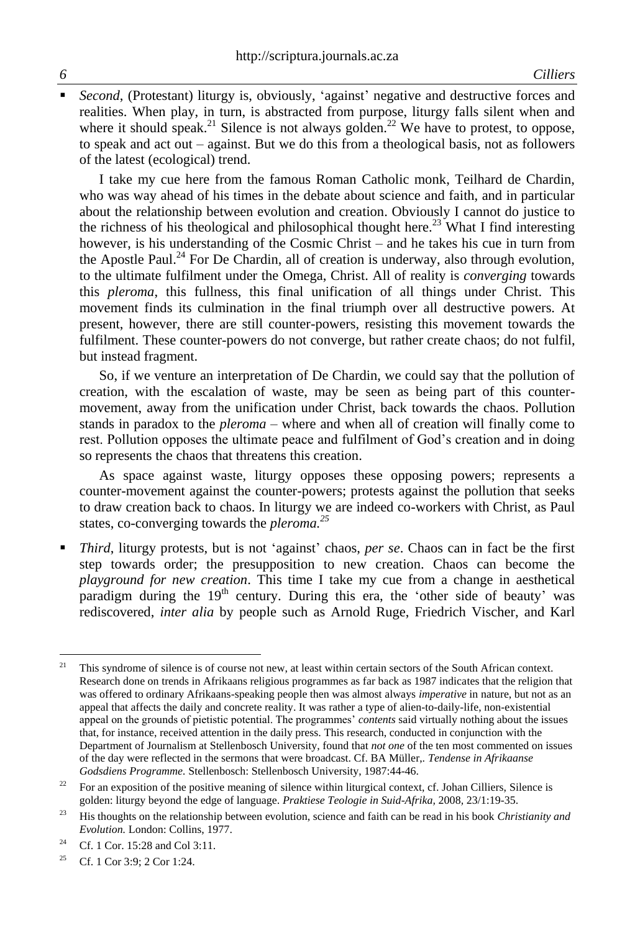*Second*, (Protestant) liturgy is, obviously, 'against' negative and destructive forces and realities. When play, in turn, is abstracted from purpose, liturgy falls silent when and where it should speak.<sup>21</sup> Silence is not always golden.<sup>22</sup> We have to protest, to oppose, to speak and act out – against. But we do this from a theological basis, not as followers of the latest (ecological) trend.

I take my cue here from the famous Roman Catholic monk, Teilhard de Chardin, who was way ahead of his times in the debate about science and faith, and in particular about the relationship between evolution and creation. Obviously I cannot do justice to the richness of his theological and philosophical thought here.<sup>23</sup> What I find interesting however, is his understanding of the Cosmic Christ – and he takes his cue in turn from the Apostle Paul.<sup>24</sup> For De Chardin, all of creation is underway, also through evolution, to the ultimate fulfilment under the Omega, Christ. All of reality is *converging* towards this *pleroma*, this fullness, this final unification of all things under Christ. This movement finds its culmination in the final triumph over all destructive powers. At present, however, there are still counter-powers, resisting this movement towards the fulfilment. These counter-powers do not converge, but rather create chaos; do not fulfil, but instead fragment.

So, if we venture an interpretation of De Chardin, we could say that the pollution of creation, with the escalation of waste, may be seen as being part of this countermovement, away from the unification under Christ, back towards the chaos. Pollution stands in paradox to the *pleroma* – where and when all of creation will finally come to rest. Pollution opposes the ultimate peace and fulfilment of God's creation and in doing so represents the chaos that threatens this creation.

As space against waste, liturgy opposes these opposing powers; represents a counter-movement against the counter-powers; protests against the pollution that seeks to draw creation back to chaos. In liturgy we are indeed co-workers with Christ, as Paul states, co-converging towards the *pleroma.<sup>25</sup>*

 *Third*, liturgy protests, but is not 'against' chaos, *per se*. Chaos can in fact be the first step towards order; the presupposition to new creation. Chaos can become the *playground for new creation*. This time I take my cue from a change in aesthetical paradigm during the  $19<sup>th</sup>$  century. During this era, the 'other side of beauty' was rediscovered, *inter alia* by people such as Arnold Ruge, Friedrich Vischer, and Karl

 $\overline{a}$ <sup>21</sup> This syndrome of silence is of course not new, at least within certain sectors of the South African context. Research done on trends in Afrikaans religious programmes as far back as 1987 indicates that the religion that was offered to ordinary Afrikaans-speaking people then was almost always *imperative* in nature, but not as an appeal that affects the daily and concrete reality. It was rather a type of alien-to-daily-life, non-existential appeal on the grounds of pietistic potential. The programmes' *contents* said virtually nothing about the issues that, for instance, received attention in the daily press. This research, conducted in conjunction with the Department of Journalism at Stellenbosch University, found that *not one* of the ten most commented on issues of the day were reflected in the sermons that were broadcast. Cf. BA Müller,. *Tendense in Afrikaanse Godsdiens Programme.* Stellenbosch: Stellenbosch University, 1987:44-46.

<sup>&</sup>lt;sup>22</sup> For an exposition of the positive meaning of silence within liturgical context, cf. Johan Cilliers, Silence is golden: liturgy beyond the edge of language. *Praktiese Teologie in Suid-Afrika,* 2008*,* 23/1:19-35.

<sup>23</sup> His thoughts on the relationship between evolution, science and faith can be read in his book *Christianity and Evolution.* London: Collins, 1977.

<sup>&</sup>lt;sup>24</sup> Cf. 1 Cor. 15:28 and Col 3:11.

<sup>25</sup> Cf. 1 Cor 3:9; 2 Cor 1:24.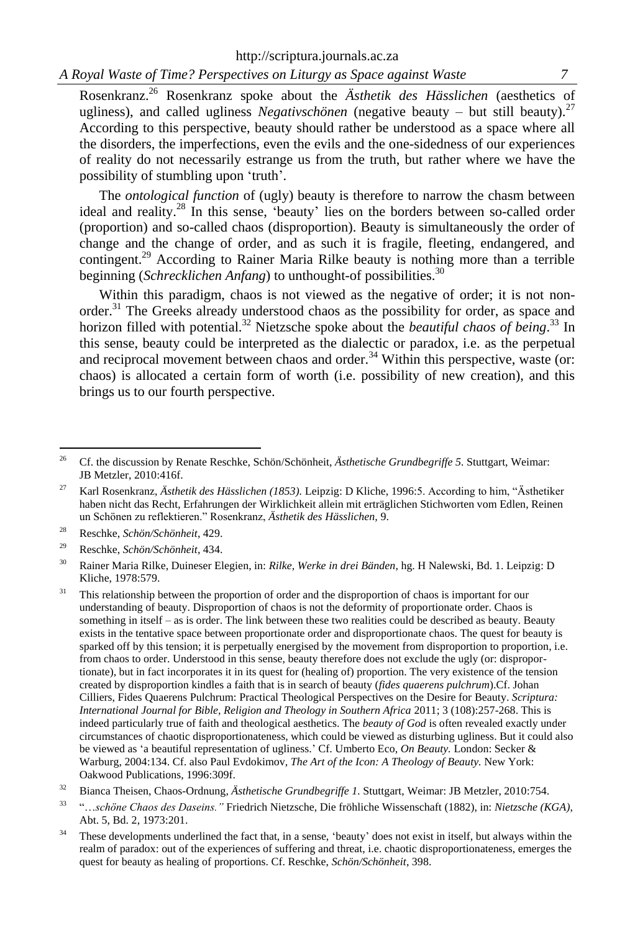*A Royal Waste of Time? Perspectives on Liturgy as Space against Waste 7*

Rosenkranz.<sup>26</sup> Rosenkranz spoke about the *Ästhetik des Hässlichen* (aesthetics of ugliness), and called ugliness *Negativschönen* (negative beauty – but still beauty).<sup>27</sup> According to this perspective, beauty should rather be understood as a space where all the disorders, the imperfections, even the evils and the one-sidedness of our experiences of reality do not necessarily estrange us from the truth, but rather where we have the possibility of stumbling upon 'truth'.

The *ontological function* of (ugly) beauty is therefore to narrow the chasm between ideal and reality.<sup>28</sup> In this sense, 'beauty' lies on the borders between so-called order (proportion) and so-called chaos (disproportion). Beauty is simultaneously the order of change and the change of order, and as such it is fragile, fleeting, endangered, and contingent.<sup>29</sup> According to Rainer Maria Rilke beauty is nothing more than a terrible beginning (*Schrecklichen Anfang*) to unthought-of possibilities.<sup>30</sup>

Within this paradigm, chaos is not viewed as the negative of order; it is not nonorder.<sup>31</sup> The Greeks already understood chaos as the possibility for order, as space and horizon filled with potential.<sup>32</sup> Nietzsche spoke about the *beautiful chaos of being*.<sup>33</sup> In this sense, beauty could be interpreted as the dialectic or paradox, i.e. as the perpetual and reciprocal movement between chaos and order.<sup>34</sup> Within this perspective, waste (or: chaos) is allocated a certain form of worth (i.e. possibility of new creation), and this brings us to our fourth perspective.

<sup>28</sup> Reschke, *Schön/Schönheit*, 429.

 $\overline{26}$ <sup>26</sup> Cf. the discussion by Renate Reschke, Schön/Schönheit, *Ästhetische Grundbegriffe 5.* Stuttgart, Weimar: JB Metzler, 2010:416f.

<sup>27</sup> Karl Rosenkranz, *Ästhetik des Hässlichen (1853).* Leipzig: D Kliche, 1996:5. According to him, "Ästhetiker haben nicht das Recht, Erfahrungen der Wirklichkeit allein mit erträglichen Stichworten vom Edlen, Reinen un Schönen zu reflektieren." Rosenkranz, *Ästhetik des Hässlichen,* 9.

<sup>29</sup> Reschke, *Schön/Schönheit*, 434.

<sup>30</sup> Rainer Maria Rilke, Duineser Elegien, in: *Rilke, Werke in drei Bänden*, hg. H Nalewski, Bd. 1. Leipzig: D Kliche, 1978:579.

<sup>&</sup>lt;sup>31</sup> This relationship between the proportion of order and the disproportion of chaos is important for our understanding of beauty. Disproportion of chaos is not the deformity of proportionate order. Chaos is something in itself – as is order. The link between these two realities could be described as beauty. Beauty exists in the tentative space between proportionate order and disproportionate chaos. The quest for beauty is sparked off by this tension; it is perpetually energised by the movement from disproportion to proportion, i.e. from chaos to order. Understood in this sense, beauty therefore does not exclude the ugly (or: disproportionate), but in fact incorporates it in its quest for (healing of) proportion. The very existence of the tension created by disproportion kindles a faith that is in search of beauty (*fides quaerens pulchrum*).Cf. Johan Cilliers, Fides Quaerens Pulchrum: Practical Theological Perspectives on the Desire for Beauty. *Scriptura: International Journal for Bible, Religion and Theology in Southern Africa* 2011; 3 (108):257-268. This is indeed particularly true of faith and theological aesthetics. The *beauty of God* is often revealed exactly under circumstances of chaotic disproportionateness, which could be viewed as disturbing ugliness. But it could also be viewed as 'a beautiful representation of ugliness.' Cf. Umberto Eco, *On Beauty.* London: Secker & Warburg, 2004:134. Cf. also Paul Evdokimov, *The Art of the Icon: A Theology of Beauty.* New York: Oakwood Publications, 1996:309f.

<sup>32</sup> Bianca Theisen, Chaos-Ordnung, *Ästhetische Grundbegriffe 1.* Stuttgart, Weimar: JB Metzler, 2010:754.

<sup>33</sup> "…*schöne Chaos des Daseins."* Friedrich Nietzsche, Die fröhliche Wissenschaft (1882), in: *Nietzsche (KGA)*, Abt. 5, Bd. 2, 1973:201.

<sup>&</sup>lt;sup>34</sup> These developments underlined the fact that, in a sense, 'beauty' does not exist in itself, but always within the realm of paradox: out of the experiences of suffering and threat, i.e. chaotic disproportionateness, emerges the quest for beauty as healing of proportions. Cf. Reschke, *Schön/Schönheit*, 398.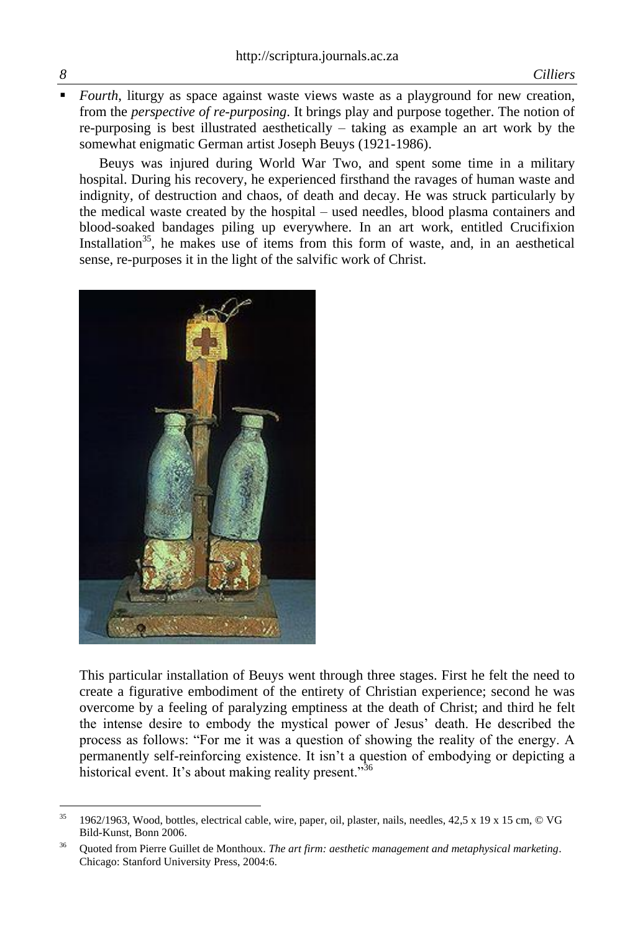*Fourth*, liturgy as space against waste views waste as a playground for new creation, from the *perspective of re-purposing*. It brings play and purpose together. The notion of re-purposing is best illustrated aesthetically – taking as example an art work by the somewhat enigmatic German artist Joseph Beuys (1921-1986).

Beuys was injured during World War Two, and spent some time in a military hospital. During his recovery, he experienced firsthand the ravages of human waste and indignity, of destruction and chaos, of death and decay. He was struck particularly by the medical waste created by the hospital – used needles, blood plasma containers and blood-soaked bandages piling up everywhere. In an art work, entitled Crucifixion Installation<sup>35</sup>, he makes use of items from this form of waste, and, in an aesthetical sense, re-purposes it in the light of the salvific work of Christ.



This particular installation of Beuys went through three stages. First he felt the need to create a figurative embodiment of the entirety of Christian experience; second he was overcome by a feeling of paralyzing emptiness at the death of Christ; and third he felt the intense desire to embody the mystical power of Jesus' death. He described the process as follows: "For me it was a question of showing the reality of the energy. A permanently self-reinforcing existence. It isn't a question of embodying or depicting a historical event. It's about making reality present."<sup>36</sup>

 $\overline{a}$ 

<sup>35</sup> 1962/1963, Wood, bottles, electrical cable, wire, paper, oil, plaster, nails, needles, 42,5 x 19 x 15 cm, © VG Bild-Kunst, Bonn 2006.

<sup>36</sup> Quoted from Pierre Guillet de Monthoux. *The art firm: aesthetic management and metaphysical marketing*. Chicago: Stanford University Press, 2004:6.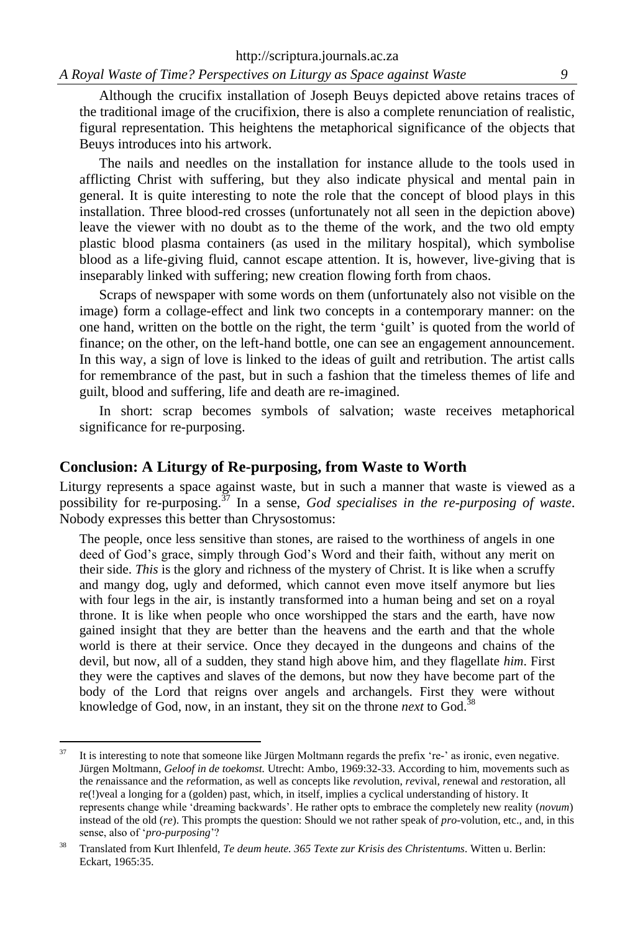Although the crucifix installation of Joseph Beuys depicted above retains traces of the traditional image of the crucifixion, there is also a complete renunciation of realistic, figural representation. This heightens the metaphorical significance of the objects that Beuys introduces into his artwork.

The nails and needles on the installation for instance allude to the tools used in afflicting Christ with suffering, but they also indicate physical and mental pain in general. It is quite interesting to note the role that the concept of blood plays in this installation. Three blood-red crosses (unfortunately not all seen in the depiction above) leave the viewer with no doubt as to the theme of the work, and the two old empty plastic blood plasma containers (as used in the military hospital), which symbolise blood as a life-giving fluid, cannot escape attention. It is, however, live-giving that is inseparably linked with suffering; new creation flowing forth from chaos.

Scraps of newspaper with some words on them (unfortunately also not visible on the image) form a collage-effect and link two concepts in a contemporary manner: on the one hand, written on the bottle on the right, the term 'guilt' is quoted from the world of finance; on the other, on the left-hand bottle, one can see an engagement announcement. In this way, a sign of love is linked to the ideas of guilt and retribution. The artist calls for remembrance of the past, but in such a fashion that the timeless themes of life and guilt, blood and suffering, life and death are re-imagined.

In short: scrap becomes symbols of salvation; waste receives metaphorical significance for re-purposing.

## **Conclusion: A Liturgy of Re-purposing, from Waste to Worth**

Liturgy represents a space against waste, but in such a manner that waste is viewed as a possibility for re-purposing.<sup>37</sup> In a sense, *God specialises in the re-purposing of waste*. Nobody expresses this better than Chrysostomus:

The people, once less sensitive than stones, are raised to the worthiness of angels in one deed of God's grace, simply through God's Word and their faith, without any merit on their side. *This* is the glory and richness of the mystery of Christ. It is like when a scruffy and mangy dog, ugly and deformed, which cannot even move itself anymore but lies with four legs in the air, is instantly transformed into a human being and set on a royal throne. It is like when people who once worshipped the stars and the earth, have now gained insight that they are better than the heavens and the earth and that the whole world is there at their service. Once they decayed in the dungeons and chains of the devil, but now, all of a sudden, they stand high above him, and they flagellate *him*. First they were the captives and slaves of the demons, but now they have become part of the body of the Lord that reigns over angels and archangels. First they were without knowledge of God, now, in an instant, they sit on the throne *next* to God.<sup>3</sup>

 $37$ <sup>37</sup> It is interesting to note that someone like Jürgen Moltmann regards the prefix 're-' as ironic, even negative. Jürgen Moltmann, *Geloof in de toekomst.* Utrecht: Ambo, 1969:32-33. According to him, movements such as the *re*naissance and the *re*formation, as well as concepts like *re*volution, *re*vival, *re*newal and *re*storation, all re(!)veal a longing for a (golden) past, which, in itself, implies a cyclical understanding of history. It represents change while 'dreaming backwards'. He rather opts to embrace the completely new reality (*novum*) instead of the old (*re*). This prompts the question: Should we not rather speak of *pro-*volution, etc., and, in this sense, also of '*pro-purposing*'?

<sup>38</sup> Translated from Kurt Ihlenfeld, *Te deum heute. 365 Texte zur Krisis des Christentums.* Witten u. Berlin: Eckart, 1965:35.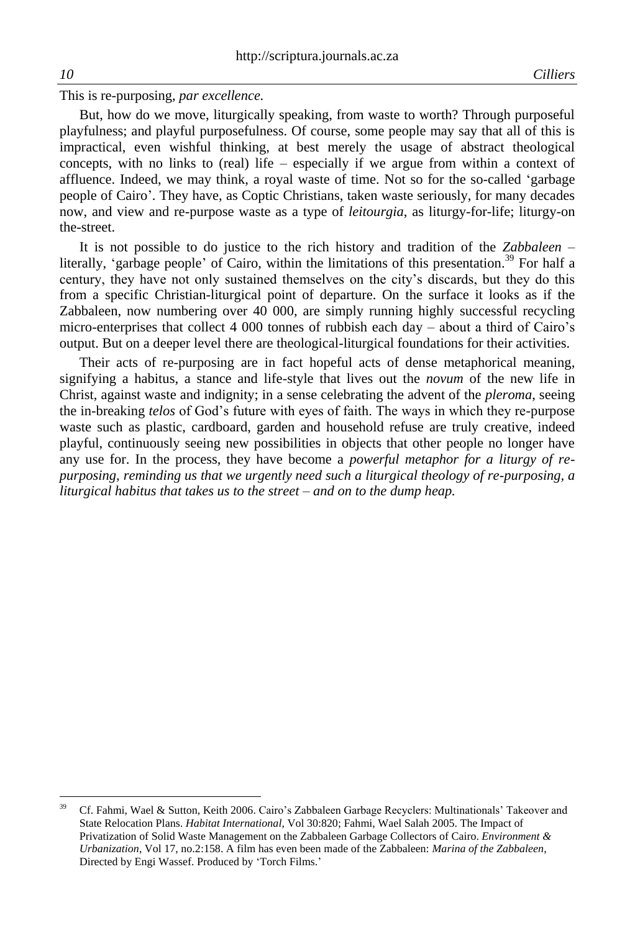This is re-purposing, *par excellence.*

But, how do we move, liturgically speaking, from waste to worth? Through purposeful playfulness; and playful purposefulness. Of course, some people may say that all of this is impractical, even wishful thinking, at best merely the usage of abstract theological concepts, with no links to (real) life – especially if we argue from within a context of affluence. Indeed, we may think, a royal waste of time. Not so for the so-called 'garbage people of Cairo'. They have, as Coptic Christians, taken waste seriously, for many decades now, and view and re-purpose waste as a type of *leitourgia*, as liturgy-for-life; liturgy-on the-street.

It is not possible to do justice to the rich history and tradition of the *Zabbaleen* – literally, 'garbage people' of Cairo, within the limitations of this presentation.<sup>39</sup> For half a century, they have not only sustained themselves on the city's discards, but they do this from a specific Christian-liturgical point of departure. On the surface it looks as if the Zabbaleen, now numbering over 40 000, are simply running highly successful recycling micro-enterprises that collect 4 000 tonnes of rubbish each day – about a third of Cairo's output. But on a deeper level there are theological-liturgical foundations for their activities.

Their acts of re-purposing are in fact hopeful acts of dense metaphorical meaning, signifying a habitus, a stance and life-style that lives out the *novum* of the new life in Christ, against waste and indignity; in a sense celebrating the advent of the *pleroma*, seeing the in-breaking *telos* of God's future with eyes of faith. The ways in which they re-purpose waste such as plastic, cardboard, garden and household refuse are truly creative, indeed playful, continuously seeing new possibilities in objects that other people no longer have any use for. In the process, they have become a *powerful metaphor for a liturgy of repurposing, reminding us that we urgently need such a liturgical theology of re-purposing, a liturgical habitus that takes us to the street – and on to the dump heap.*

 $\overline{a}$ 

<sup>39</sup> Cf. Fahmi, Wael & Sutton, Keith 2006. Cairo's Zabbaleen Garbage Recyclers: Multinationals' Takeover and State Relocation Plans. *Habitat International*, Vol 30:820; Fahmi, Wael Salah 2005. The Impact of Privatization of Solid Waste Management on the Zabbaleen Garbage Collectors of Cairo. *Environment & Urbanization*, Vol 17, no.2:158. A film has even been made of the Zabbaleen: *Marina of the Zabbaleen*, Directed by Engi Wassef. Produced by 'Torch Films.'